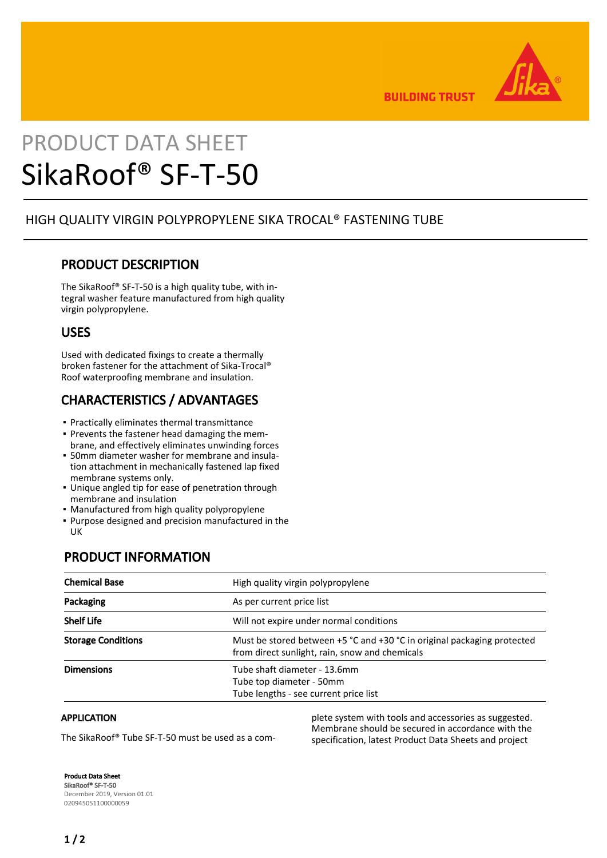

**BUILDING TRUST** 

# PRODUCT DATA SHEET SikaRoof® SF-T-50

#### HIGH QUALITY VIRGIN POLYPROPYLENE SIKA TROCAL® FASTENING TUBE

#### PRODUCT DESCRIPTION

The SikaRoof® SF-T-50 is a high quality tube, with integral washer feature manufactured from high quality virgin polypropylene.

#### USES

Used with dedicated fixings to create a thermally broken fastener for the attachment of Sika-Trocal® Roof waterproofing membrane and insulation.

## CHARACTERISTICS / ADVANTAGES

- Practically eliminates thermal transmittance
- Prevents the fastener head damaging the mem-▪ brane, and effectively eliminates unwinding forces
- 50mm diameter washer for membrane and insula-▪ tion attachment in mechanically fastened lap fixed membrane systems only.
- Unique angled tip for ease of penetration through membrane and insulation
- **Manufactured from high quality polypropylene**
- Purpose designed and precision manufactured in the UK

#### PRODUCT INFORMATION

| <b>Chemical Base</b>      | High quality virgin polypropylene                                                                                             |
|---------------------------|-------------------------------------------------------------------------------------------------------------------------------|
| Packaging                 | As per current price list                                                                                                     |
| <b>Shelf Life</b>         | Will not expire under normal conditions                                                                                       |
| <b>Storage Conditions</b> | Must be stored between $+5$ °C and $+30$ °C in original packaging protected<br>from direct sunlight, rain, snow and chemicals |
| <b>Dimensions</b>         | Tube shaft diameter - 13.6mm<br>Tube top diameter - 50mm<br>Tube lengths - see current price list                             |

#### APPLICATION

The SikaRoof® Tube SF-T-50 must be used as a com-

plete system with tools and accessories as suggested. Membrane should be secured in accordance with the specification, latest Product Data Sheets and project

Product Data Sheet SikaRoof® SF-T-50 December 2019, Version 01.01 020945051100000059